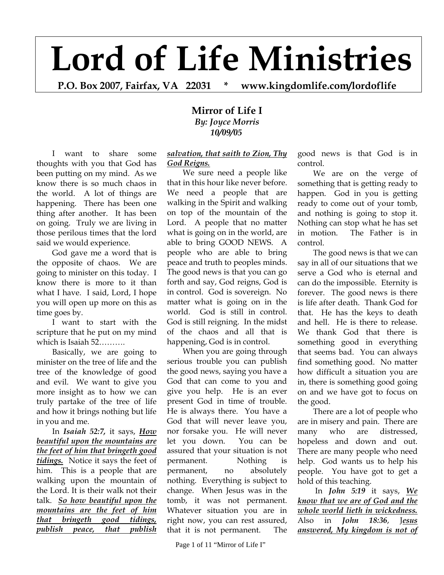# **Lord of Life Ministries**

**P.O. Box 2007, Fairfax, VA 22031 \* www.kingdomlife.com/lordoflife** 

## **Mirror of Life I**  *By: Joyce Morris 10/09/05*

I want to share some thoughts with you that God has been putting on my mind. As we know there is so much chaos in the world. A lot of things are happening. There has been one thing after another. It has been on going. Truly we are living in those perilous times that the lord said we would experience.

God gave me a word that is the opposite of chaos. We are going to minister on this today. I know there is more to it than what I have. I said, Lord, I hope you will open up more on this as time goes by.

I want to start with the scripture that he put on my mind which is Isaiah 52……….

Basically, we are going to minister on the tree of life and the tree of the knowledge of good and evil. We want to give you more insight as to how we can truly partake of the tree of life and how it brings nothing but life in you and me.

In *Isaiah 52:7,* it says, *How beautiful upon the mountains are the feet of him that bringeth good tidings.* Notice it says the feet of him. This is a people that are walking upon the mountain of the Lord. It is their walk not their talk. *So how beautiful upon the mountains are the feet of him that bringeth good tidings, publish peace, that publish* 

#### *salvation, that saith to Zion, Thy God Reigns.*

We sure need a people like that in this hour like never before. We need a people that are walking in the Spirit and walking on top of the mountain of the Lord. A people that no matter what is going on in the world, are able to bring GOOD NEWS. A people who are able to bring peace and truth to peoples minds. The good news is that you can go forth and say, God reigns, God is in control. God is sovereign. No matter what is going on in the world. God is still in control. God is still reigning. In the midst of the chaos and all that is happening, God is in control.

When you are going through serious trouble you can publish the good news, saying you have a God that can come to you and give you help. He is an ever present God in time of trouble. He is always there. You have a God that will never leave you, nor forsake you. He will never let you down. You can be assured that your situation is not permanent. Nothing is permanent, no absolutely nothing. Everything is subject to change. When Jesus was in the tomb, it was not permanent. Whatever situation you are in right now, you can rest assured, that it is not permanent. The

good news is that God is in control.

We are on the verge of something that is getting ready to happen. God in you is getting ready to come out of your tomb, and nothing is going to stop it. Nothing can stop what he has set in motion. The Father is in control.

The good news is that we can say in all of our situations that we serve a God who is eternal and can do the impossible. Eternity is forever. The good news is there is life after death. Thank God for that. He has the keys to death and hell. He is there to release. We thank God that there is something good in everything that seems bad. You can always find something good. No matter how difficult a situation you are in, there is something good going on and we have got to focus on the good.

There are a lot of people who are in misery and pain. There are many who are distressed, hopeless and down and out. There are many people who need help. God wants us to help his people. You have got to get a hold of this teaching.

 In *John 5:19* it says, *We know that we are of God and the whole world lieth in wickedness.* Also in *John 18:36*, J*esus answered, My kingdom is not of*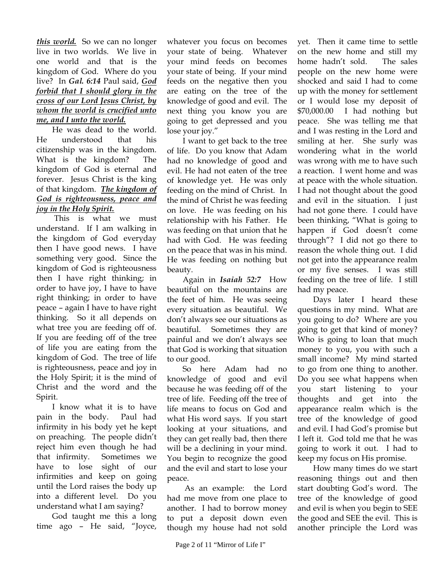### *this world.* So we can no longer live in two worlds. We live in one world and that is the kingdom of God. Where do you live? In *Gal. 6:14* Paul said, *God forbid that I should glory in the cross of our Lord Jesus Christ, by whom the world is crucified unto me, and I unto the world.*

He was dead to the world. He understood that his citizenship was in the kingdom. What is the kingdom? The kingdom of God is eternal and forever. Jesus Christ is the king of that kingdom. *The kingdom of God is righteousness, peace and joy in the Holy Spirit.*

 This is what we must understand. If I am walking in the kingdom of God everyday then I have good news. I have something very good. Since the kingdom of God is righteousness then I have right thinking; in order to have joy, I have to have right thinking; in order to have peace – again I have to have right thinking. So it all depends on what tree you are feeding off of. If you are feeding off of the tree of life you are eating from the kingdom of God. The tree of life is righteousness, peace and joy in the Holy Spirit; it is the mind of Christ and the word and the Spirit.

I know what it is to have pain in the body. Paul had infirmity in his body yet he kept on preaching. The people didn't reject him even though he had that infirmity. Sometimes we have to lose sight of our infirmities and keep on going until the Lord raises the body up into a different level. Do you understand what I am saying?

God taught me this a long time ago – He said, "Joyce,

whatever you focus on becomes your state of being. Whatever your mind feeds on becomes your state of being. If your mind feeds on the negative then you are eating on the tree of the knowledge of good and evil. The next thing you know you are going to get depressed and you lose your joy."

I want to get back to the tree of life. Do you know that Adam had no knowledge of good and evil. He had not eaten of the tree of knowledge yet. He was only feeding on the mind of Christ. In the mind of Christ he was feeding on love. He was feeding on his relationship with his Father. He was feeding on that union that he had with God. He was feeding on the peace that was in his mind. He was feeding on nothing but beauty.

Again in *Isaiah 52:7* How beautiful on the mountains are the feet of him. He was seeing every situation as beautiful. We don't always see our situations as beautiful. Sometimes they are painful and we don't always see that God is working that situation to our good.

So here Adam had no knowledge of good and evil because he was feeding off of the tree of life. Feeding off the tree of life means to focus on God and what His word says. If you start looking at your situations, and they can get really bad, then there will be a declining in your mind. You begin to recognize the good and the evil and start to lose your peace.

 As an example: the Lord had me move from one place to another. I had to borrow money to put a deposit down even though my house had not sold

yet. Then it came time to settle on the new home and still my home hadn't sold. The sales people on the new home were shocked and said I had to come up with the money for settlement or I would lose my deposit of \$70,000.00 I had nothing but peace. She was telling me that and I was resting in the Lord and smiling at her. She surly was wondering what in the world was wrong with me to have such a reaction. I went home and was at peace with the whole situation. I had not thought about the good and evil in the situation. I just had not gone there. I could have been thinking, "What is going to happen if God doesn't come through"? I did not go there to reason the whole thing out. I did not get into the appearance realm or my five senses. I was still feeding on the tree of life. I still had my peace.

Days later I heard these questions in my mind. What are you going to do? Where are you going to get that kind of money? Who is going to loan that much money to you, you with such a small income? My mind started to go from one thing to another. Do you see what happens when you start listening to your thoughts and get into the appearance realm which is the tree of the knowledge of good and evil. I had God's promise but I left it. God told me that he was going to work it out. I had to keep my focus on His promise.

How many times do we start reasoning things out and then start doubting God's word. The tree of the knowledge of good and evil is when you begin to SEE the good and SEE the evil. This is another principle the Lord was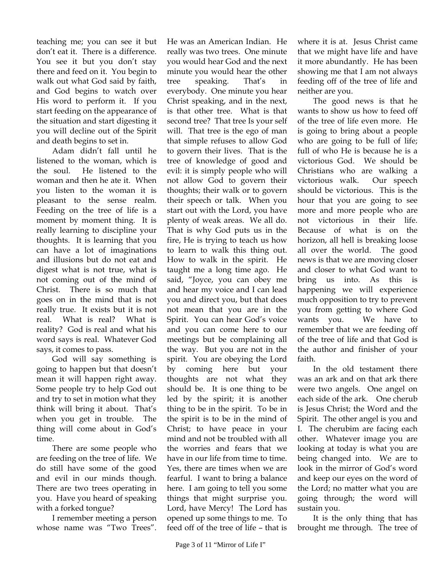teaching me; you can see it but don't eat it. There is a difference. You see it but you don't stay there and feed on it. You begin to walk out what God said by faith, and God begins to watch over His word to perform it. If you start feeding on the appearance of the situation and start digesting it you will decline out of the Spirit and death begins to set in.

Adam didn't fall until he listened to the woman, which is the soul. He listened to the woman and then he ate it. When you listen to the woman it is pleasant to the sense realm. Feeding on the tree of life is a moment by moment thing. It is really learning to discipline your thoughts. It is learning that you can have a lot of imaginations and illusions but do not eat and digest what is not true, what is not coming out of the mind of Christ. There is so much that goes on in the mind that is not really true. It exists but it is not real. What is real? What is reality? God is real and what his word says is real. Whatever God says, it comes to pass.

God will say something is going to happen but that doesn't mean it will happen right away. Some people try to help God out and try to set in motion what they think will bring it about. That's when you get in trouble. The thing will come about in God's time.

There are some people who are feeding on the tree of life. We do still have some of the good and evil in our minds though. There are two trees operating in you. Have you heard of speaking with a forked tongue?

I remember meeting a person whose name was "Two Trees".

He was an American Indian. He really was two trees. One minute you would hear God and the next minute you would hear the other tree speaking. That's in everybody. One minute you hear Christ speaking, and in the next, is that other tree. What is that second tree? That tree Is your self will. That tree is the ego of man that simple refuses to allow God to govern their lives. That is the tree of knowledge of good and evil: it is simply people who will not allow God to govern their thoughts; their walk or to govern their speech or talk. When you start out with the Lord, you have plenty of weak areas. We all do. That is why God puts us in the fire, He is trying to teach us how to learn to walk this thing out. How to walk in the spirit. He taught me a long time ago. He said, "Joyce, you can obey me and hear my voice and I can lead you and direct you, but that does not mean that you are in the Spirit. You can hear God's voice and you can come here to our meetings but be complaining all the way. But you are not in the spirit. You are obeying the Lord by coming here but your thoughts are not what they should be. It is one thing to be led by the spirit; it is another thing to be in the spirit. To be in the spirit is to be in the mind of Christ; to have peace in your mind and not be troubled with all the worries and fears that we have in our life from time to time. Yes, there are times when we are fearful. I want to bring a balance here. I am going to tell you some things that might surprise you. Lord, have Mercy! The Lord has opened up some things to me. To feed off of the tree of life – that is

where it is at. Jesus Christ came that we might have life and have it more abundantly. He has been showing me that I am not always feeding off of the tree of life and neither are you.

The good news is that he wants to show us how to feed off of the tree of life even more. He is going to bring about a people who are going to be full of life; full of who He is because he is a victorious God. We should be Christians who are walking a victorious walk. Our speech should be victorious. This is the hour that you are going to see more and more people who are not victorious in their life. Because of what is on the horizon, all hell is breaking loose all over the world. The good news is that we are moving closer and closer to what God want to bring us into. As this is happening we will experience much opposition to try to prevent you from getting to where God wants you. We have to remember that we are feeding off of the tree of life and that God is the author and finisher of your faith.

In the old testament there was an ark and on that ark there were two angels. One angel on each side of the ark. One cherub is Jesus Christ; the Word and the Spirit. The other angel is you and I. The cherubim are facing each other. Whatever image you are looking at today is what you are being changed into. We are to look in the mirror of God's word and keep our eyes on the word of the Lord; no matter what you are going through; the word will sustain you.

It is the only thing that has brought me through. The tree of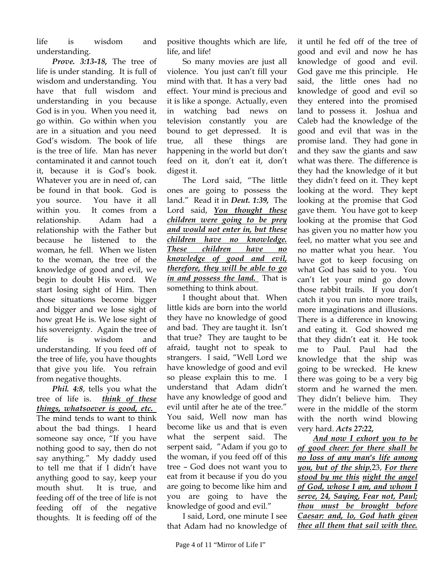life is wisdom and understanding.

*Prove. 3:13-18,* The tree of life is under standing. It is full of wisdom and understanding. You have that full wisdom and understanding in you because God is in you. When you need it, go within. Go within when you are in a situation and you need God's wisdom. The book of life is the tree of life. Man has never contaminated it and cannot touch it, because it is God's book. Whatever you are in need of, can be found in that book. God is you source. You have it all within you. It comes from a relationship. Adam had a relationship with the Father but because he listened to the woman, he fell. When we listen to the woman, the tree of the knowledge of good and evil, we begin to doubt His word. We start losing sight of Him. Then those situations become bigger and bigger and we lose sight of how great He is. We lose sight of his sovereignty. Again the tree of life is wisdom and understanding. If you feed off of the tree of life, you have thoughts that give you life. You refrain from negative thoughts.

*Phil. 4:8*, tells you what the tree of life is. *think of these things, whatsoever is good, etc.*  The mind tends to want to think about the bad things. I heard someone say once, "If you have nothing good to say, then do not say anything." My daddy used to tell me that if I didn't have anything good to say, keep your mouth shut. It is true, and feeding off of the tree of life is not feeding off of the negative thoughts. It is feeding off of the positive thoughts which are life, life, and life!

So many movies are just all violence. You just can't fill your mind with that. It has a very bad effect. Your mind is precious and it is like a sponge. Actually, even in watching bad news on television constantly you are bound to get depressed. It is true, all these things are happening in the world but don't feed on it, don't eat it, don't digest it.

The Lord said, "The little ones are going to possess the land." Read it in *Deut. 1:39,* The Lord said, *You thought these children were going to be prey and would not enter in, but these children have no knowledge. These children have no knowledge of good and evil, therefore, they will be able to go in and possess the land.* That is something to think about.

I thought about that. When little kids are born into the world they have no knowledge of good and bad. They are taught it. Isn't that true? They are taught to be afraid, taught not to speak to strangers. I said, "Well Lord we have knowledge of good and evil so please explain this to me. I understand that Adam didn't have any knowledge of good and evil until after he ate of the tree." You said, Well now man has become like us and that is even what the serpent said. The serpent said, "Adam if you go to the woman, if you feed off of this tree – God does not want you to eat from it because if you do you are going to become like him and you are going to have the knowledge of good and evil."

I said, Lord, one minute I see that Adam had no knowledge of it until he fed off of the tree of good and evil and now he has knowledge of good and evil. God gave me this principle. He said, the little ones had no knowledge of good and evil so they entered into the promised land to possess it. Joshua and Caleb had the knowledge of the good and evil that was in the promise land. They had gone in and they saw the giants and saw what was there. The difference is they had the knowledge of it but they didn't feed on it. They kept looking at the word. They kept looking at the promise that God gave them. You have got to keep looking at the promise that God has given you no matter how you feel, no matter what you see and no matter what you hear. You have got to keep focusing on what God has said to you. You can't let your mind go down those rabbit trails. If you don't catch it you run into more trails, more imaginations and illusions. There is a difference in knowing and eating it. God showed me that they didn't eat it. He took me to Paul. Paul had the knowledge that the ship was going to be wrecked. He knew there was going to be a very big storm and he warned the men. They didn't believe him. They were in the middle of the storm with the north wind blowing very hard. *Acts 27:22,*

*And now I exhort you to be of good cheer: for there shall be no loss of any man's life among you, but of the ship.*23, *For there stood by me this night the angel of God, whose I am, and whom I serve, 24, Saying, Fear not, Paul; thou must be brought before Caesar: and, lo, God hath given thee all them that sail with thee.*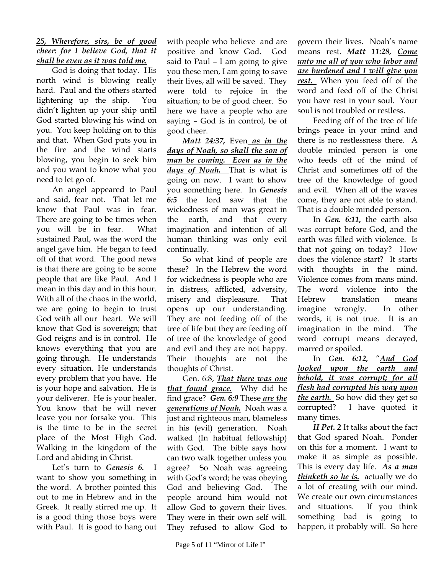#### *25, Wherefore, sirs, be of good cheer: for I believe God, that it shall be even as it was told me.*

God is doing that today. His north wind is blowing really hard. Paul and the others started lightening up the ship. You didn't lighten up your ship until God started blowing his wind on you. You keep holding on to this and that. When God puts you in the fire and the wind starts blowing, you begin to seek him and you want to know what you need to let go of.

An angel appeared to Paul and said, fear not. That let me know that Paul was in fear. There are going to be times when you will be in fear. What sustained Paul, was the word the angel gave him. He began to feed off of that word. The good news is that there are going to be some people that are like Paul. And I mean in this day and in this hour. With all of the chaos in the world, we are going to begin to trust God with all our heart. We will know that God is sovereign; that God reigns and is in control. He knows everything that you are going through. He understands every situation. He understands every problem that you have. He is your hope and salvation. He is your deliverer. He is your healer. You know that he will never leave you nor forsake you. This is the time to be in the secret place of the Most High God. Walking in the kingdom of the Lord and abiding in Christ.

Let's turn to *Genesis 6.* I want to show you something in the word. A brother pointed this out to me in Hebrew and in the Greek. It really stirred me up. It is a good thing those boys were with Paul. It is good to hang out with people who believe and are positive and know God. God said to Paul – I am going to give you these men, I am going to save their lives, all will be saved. They were told to rejoice in the situation; to be of good cheer. So here we have a people who are saying – God is in control, be of good cheer.

*Matt 24:37,* Even *as in the days of Noah, so shall the son of man be coming. Even as in the days of Noah.* That is what is going on now. I want to show you something here. In *Genesis 6:5* the lord saw that the wickedness of man was great in the earth, and that every imagination and intention of all human thinking was only evil continually.

So what kind of people are these? In the Hebrew the word for wickedness is people who are in distress, afflicted, adversity, misery and displeasure. That opens up our understanding. They are not feeding off of the tree of life but they are feeding off of tree of the knowledge of good and evil and they are not happy. Their thoughts are not the thoughts of Christ.

Gen. 6:8, *That there was one that found grace.* Why did he find grace? *Gen. 6:9* These *are the generations of Noah.* Noah was a just and righteous man, blameless in his (evil) generation. Noah walked (In habitual fellowship) with God. The bible says how can two walk together unless you agree? So Noah was agreeing with God's word; he was obeying God and believing God. The people around him would not allow God to govern their lives. They were in their own self will. They refused to allow God to

govern their lives. Noah's name means rest. *Matt 11:28, Come unto me all of you who labor and are burdened and I will give you rest.* When you feed off of the word and feed off of the Christ you have rest in your soul. Your soul is not troubled or restless.

Feeding off of the tree of life brings peace in your mind and there is no restlessness there. A double minded person is one who feeds off of the mind of Christ and sometimes off of the tree of the knowledge of good and evil. When all of the waves come, they are not able to stand. That is a double minded person.

In *Gen. 6:11,* the earth also was corrupt before God, and the earth was filled with violence. Is that not going on today? How does the violence start? It starts with thoughts in the mind. Violence comes from mans mind. The word violence into the Hebrew translation means imagine wrongly. In other words, it is not true. It is an imagination in the mind. The word corrupt means decayed, marred or spoiled.

In *Gen. 6:12,* "*And God looked upon the earth and behold, it was corrupt; for all flesh had corrupted his way upon the earth.* So how did they get so corrupted? I have quoted it many times.

*II Pet. 2* It talks about the fact that God spared Noah. Ponder on this for a moment. I want to make it as simple as possible. This is every day life. *As a man thinketh so he is.* actually we do a lot of creating with our mind. We create our own circumstances and situations. If you think something bad is going to happen, it probably will. So here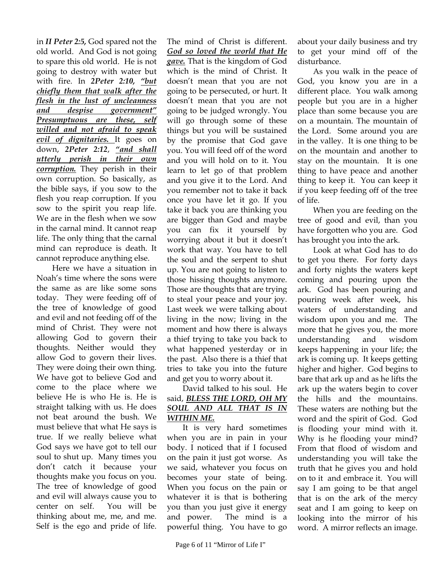in *II Peter 2:5,* God spared not the old world. And God is not going to spare this old world. He is not going to destroy with water but with fire. In *2Peter 2:10, "but chiefly them that walk after the flesh in the lust of uncleanness and despise government" Presumptuous are these, self willed and not afraid to speak evil of dignitaries.* It goes on down, *2Peter 2:12*, *"and shall utterly perish in their own corruption.* They perish in their own corruption. So basically, as the bible says, if you sow to the flesh you reap corruption. If you sow to the spirit you reap life. We are in the flesh when we sow in the carnal mind. It cannot reap life. The only thing that the carnal mind can reproduce is death. It cannot reproduce anything else.

Here we have a situation in Noah's time where the sons were the same as are like some sons today. They were feeding off of the tree of knowledge of good and evil and not feeding off of the mind of Christ. They were not allowing God to govern their thoughts. Neither would they allow God to govern their lives. They were doing their own thing. We have got to believe God and come to the place where we believe He is who He is. He is straight talking with us. He does not beat around the bush. We must believe that what He says is true. If we really believe what God says we have got to tell our soul to shut up. Many times you don't catch it because your thoughts make you focus on you. The tree of knowledge of good and evil will always cause you to center on self. You will be thinking about me, me, and me. Self is the ego and pride of life.

The mind of Christ is different. *God so loved the world that He gave.* That is the kingdom of God which is the mind of Christ. It doesn't mean that you are not going to be persecuted, or hurt. It doesn't mean that you are not going to be judged wrongly. You will go through some of these things but you will be sustained by the promise that God gave you. You will feed off of the word and you will hold on to it. You learn to let go of that problem and you give it to the Lord. And you remember not to take it back once you have let it go. If you take it back you are thinking you are bigger than God and maybe you can fix it yourself by worrying about it but it doesn't work that way. You have to tell the soul and the serpent to shut up. You are not going to listen to those hissing thoughts anymore. Those are thoughts that are trying to steal your peace and your joy. Last week we were talking about living in the now; living in the moment and how there is always a thief trying to take you back to what happened yesterday or in the past. Also there is a thief that tries to take you into the future and get you to worry about it.

#### David talked to his soul. He said, *BLESS THE LORD, OH MY SOUL AND ALL THAT IS IN WITHIN ME.*

It is very hard sometimes when you are in pain in your body. I noticed that if I focused on the pain it just got worse. As we said, whatever you focus on becomes your state of being. When you focus on the pain or whatever it is that is bothering you than you just give it energy and power. The mind is a powerful thing. You have to go

about your daily business and try to get your mind off of the disturbance.

As you walk in the peace of God, you know you are in a different place. You walk among people but you are in a higher place than some because you are on a mountain. The mountain of the Lord. Some around you are in the valley. It is one thing to be on the mountain and another to stay on the mountain. It is one thing to have peace and another thing to keep it. You can keep it if you keep feeding off of the tree of life.

When you are feeding on the tree of good and evil, than you have forgotten who you are. God has brought you into the ark.

Look at what God has to do to get you there. For forty days and forty nights the waters kept coming and pouring upon the ark. God has been pouring and pouring week after week, his waters of understanding and wisdom upon you and me. The more that he gives you, the more understanding and wisdom keeps happening in your life; the ark is coming up. It keeps getting higher and higher. God begins to bare that ark up and as he lifts the ark up the waters begin to cover the hills and the mountains. These waters are nothing but the word and the spirit of God. God is flooding your mind with it. Why is he flooding your mind? From that flood of wisdom and understanding you will take the truth that he gives you and hold on to it and embrace it. You will say I am going to be that angel that is on the ark of the mercy seat and I am going to keep on looking into the mirror of his word. A mirror reflects an image.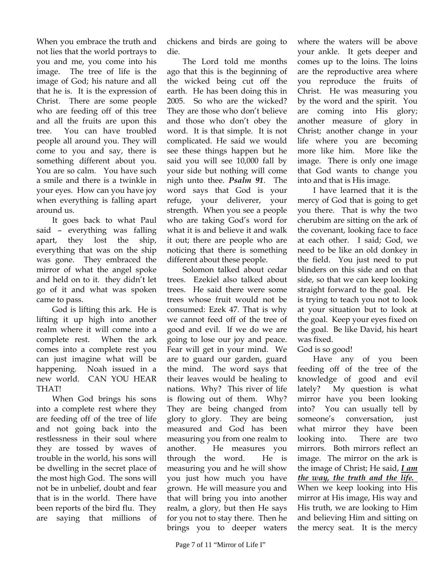When you embrace the truth and not lies that the world portrays to you and me, you come into his image. The tree of life is the image of God; his nature and all that he is. It is the expression of Christ. There are some people who are feeding off of this tree and all the fruits are upon this tree. You can have troubled people all around you. They will come to you and say, there is something different about you. You are so calm. You have such a smile and there is a twinkle in your eyes. How can you have joy when everything is falling apart around us.

It goes back to what Paul said – everything was falling apart, they lost the ship, everything that was on the ship was gone. They embraced the mirror of what the angel spoke and held on to it. they didn't let go of it and what was spoken came to pass.

God is lifting this ark. He is lifting it up high into another realm where it will come into a complete rest. When the ark comes into a complete rest you can just imagine what will be happening. Noah issued in a new world. CAN YOU HEAR THAT!

When God brings his sons into a complete rest where they are feeding off of the tree of life and not going back into the restlessness in their soul where they are tossed by waves of trouble in the world, his sons will be dwelling in the secret place of the most high God. The sons will not be in unbelief, doubt and fear that is in the world. There have been reports of the bird flu. They are saying that millions of chickens and birds are going to die.

The Lord told me months ago that this is the beginning of the wicked being cut off the earth. He has been doing this in 2005. So who are the wicked? They are those who don't believe and those who don't obey the word. It is that simple. It is not complicated. He said we would see these things happen but he said you will see 10,000 fall by your side but nothing will come nigh unto thee. *Psalm 91*. The word says that God is your refuge, your deliverer, your strength. When you see a people who are taking God's word for what it is and believe it and walk it out; there are people who are noticing that there is something different about these people.

Solomon talked about cedar trees. Ezekiel also talked about trees. He said there were some trees whose fruit would not be consumed: Ezek 47. That is why we cannot feed off of the tree of good and evil. If we do we are going to lose our joy and peace. Fear will get in your mind. We are to guard our garden, guard the mind. The word says that their leaves would be healing to nations. Why? This river of life is flowing out of them. Why? They are being changed from glory to glory. They are being measured and God has been measuring you from one realm to another. He measures you through the word. He is measuring you and he will show you just how much you have grown. He will measure you and that will bring you into another realm, a glory, but then He says for you not to stay there. Then he brings you to deeper waters

where the waters will be above your ankle. It gets deeper and comes up to the loins. The loins are the reproductive area where you reproduce the fruits of Christ. He was measuring you by the word and the spirit. You are coming into His glory; another measure of glory in Christ; another change in your life where you are becoming more like him. More like the image. There is only one image that God wants to change you into and that is His image.

I have learned that it is the mercy of God that is going to get you there. That is why the two cherubim are sitting on the ark of the covenant, looking face to face at each other. I said; God, we need to be like an old donkey in the field. You just need to put blinders on this side and on that side, so that we can keep looking straight forward to the goal. He is trying to teach you not to look at your situation but to look at the goal. Keep your eyes fixed on the goal. Be like David, his heart was fixed.

## God is so good!

Have any of you been feeding off of the tree of the knowledge of good and evil lately? My question is what mirror have you been looking into? You can usually tell by someone's conversation, just what mirror they have been looking into. There are two mirrors. Both mirrors reflect an image. The mirror on the ark is the image of Christ; He said, *I am the way, the truth and the life.*  When we keep looking into His mirror at His image, His way and His truth, we are looking to Him and believing Him and sitting on the mercy seat. It is the mercy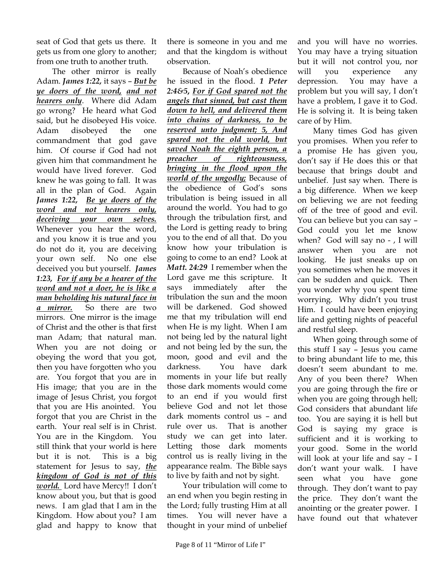seat of God that gets us there. It gets us from one glory to another; from one truth to another truth.

The other mirror is really Adam. *James 1:22,* it says – *But be ye doers of the word, and not hearers only*. Where did Adam go wrong? He heard what God said, but he disobeyed His voice. Adam disobeyed the one commandment that god gave him. Of course if God had not given him that commandment he would have lived forever. God knew he was going to fall. It was all in the plan of God. Again *James 1:22, Be ye doers of the word and not hearers only, deceiving your own selves.*  Whenever you hear the word, and you know it is true and you do not do it, you are deceiving your own self. No one else deceived you but yourself. *James 1:23, For if any be a hearer of the word and not a doer, he is like a man beholding his natural face in a mirror.* So there are two mirrors. One mirror is the image of Christ and the other is that first man Adam; that natural man. When you are not doing or obeying the word that you got, then you have forgotten who you are. You forgot that you are in His image; that you are in the image of Jesus Christ, you forgot that you are His anointed. You forgot that you are Christ in the earth. Your real self is in Christ. You are in the Kingdom. You still think that your world is here but it is not. This is a big statement for Jesus to say, *the kingdom of God is not of this world.* Lord have Mercy!! I don't know about you, but that is good news. I am glad that I am in the Kingdom. How about you? I am glad and happy to know that

there is someone in you and me and that the kingdom is without observation.

Because of Noah's obedience he issued in the flood. *1 Peter 2:4&5***,** *For if God spared not the angels that sinned, but cast them down to hell, and delivered them into chains of darkness, to be reserved unto judgment; 5, And spared not the old world, but saved Noah the eighth person, a preacher of righteousness, bringing in the flood upon the world of the ungodly;* Because of the obedience of God's sons tribulation is being issued in all around the world. You had to go through the tribulation first, and the Lord is getting ready to bring you to the end of all that. Do you know how your tribulation is going to come to an end? Look at *Matt. 24:29* I remember when the Lord gave me this scripture. It says immediately after the tribulation the sun and the moon will be darkened. God showed me that my tribulation will end when He is my light. When I am not being led by the natural light and not being led by the sun, the moon, good and evil and the darkness. You have dark moments in your life but really those dark moments would come to an end if you would first believe God and not let those dark moments control us – and rule over us. That is another study we can get into later. Letting those dark moments control us is really living in the appearance realm. The Bible says to live by faith and not by sight.

Your tribulation will come to an end when you begin resting in the Lord; fully trusting Him at all times. You will never have a thought in your mind of unbelief

and you will have no worries. You may have a trying situation but it will not control you, nor will you experience any depression. You may have a problem but you will say, I don't have a problem, I gave it to God. He is solving it. It is being taken care of by Him.

Many times God has given you promises. When you refer to a promise He has given you, don't say if He does this or that because that brings doubt and unbelief. Just say when. There is a big difference. When we keep on believing we are not feeding off of the tree of good and evil. You can believe but you can say – God could you let me know when? God will say no - , I will answer when you are not looking. He just sneaks up on you sometimes when he moves it can be sudden and quick. Then you wonder why you spent time worrying. Why didn't you trust Him. I could have been enjoying life and getting nights of peaceful and restful sleep.

When going through some of this stuff I say – Jesus you came to bring abundant life to me, this doesn't seem abundant to me. Any of you been there? When you are going through the fire or when you are going through hell; God considers that abundant life too. You are saying it is hell but God is saying my grace is sufficient and it is working to your good. Some in the world will look at your life and say – I don't want your walk. I have seen what you have gone through. They don't want to pay the price. They don't want the anointing or the greater power. I have found out that whatever